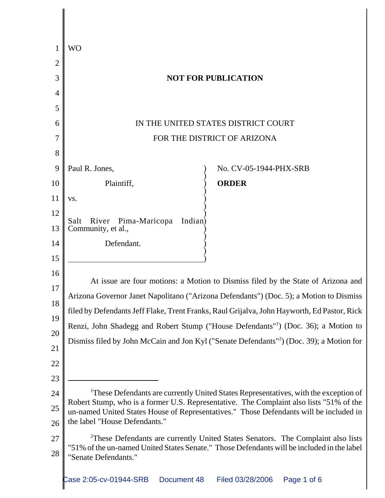|                | <b>WO</b>                                                                                                                                                                                                                                                                                                                                                                                                                                                                                                                                    |                        |
|----------------|----------------------------------------------------------------------------------------------------------------------------------------------------------------------------------------------------------------------------------------------------------------------------------------------------------------------------------------------------------------------------------------------------------------------------------------------------------------------------------------------------------------------------------------------|------------------------|
| $\overline{2}$ |                                                                                                                                                                                                                                                                                                                                                                                                                                                                                                                                              |                        |
| 3              | <b>NOT FOR PUBLICATION</b>                                                                                                                                                                                                                                                                                                                                                                                                                                                                                                                   |                        |
| $\overline{4}$ |                                                                                                                                                                                                                                                                                                                                                                                                                                                                                                                                              |                        |
| 5              |                                                                                                                                                                                                                                                                                                                                                                                                                                                                                                                                              |                        |
| 6              | IN THE UNITED STATES DISTRICT COURT                                                                                                                                                                                                                                                                                                                                                                                                                                                                                                          |                        |
| 7              | FOR THE DISTRICT OF ARIZONA                                                                                                                                                                                                                                                                                                                                                                                                                                                                                                                  |                        |
| 8              |                                                                                                                                                                                                                                                                                                                                                                                                                                                                                                                                              |                        |
| 9              | Paul R. Jones,                                                                                                                                                                                                                                                                                                                                                                                                                                                                                                                               | No. CV-05-1944-PHX-SRB |
| 10             | Plaintiff,                                                                                                                                                                                                                                                                                                                                                                                                                                                                                                                                   | <b>ORDER</b>           |
| 11             | VS.                                                                                                                                                                                                                                                                                                                                                                                                                                                                                                                                          |                        |
| 12             | Indian)<br>River<br>Pima-Maricopa<br>Salt                                                                                                                                                                                                                                                                                                                                                                                                                                                                                                    |                        |
| 13             | Community, et al.,                                                                                                                                                                                                                                                                                                                                                                                                                                                                                                                           |                        |
| 14             | Defendant.                                                                                                                                                                                                                                                                                                                                                                                                                                                                                                                                   |                        |
| 15             |                                                                                                                                                                                                                                                                                                                                                                                                                                                                                                                                              |                        |
| 16             | At issue are four motions: a Motion to Dismiss filed by the State of Arizona and<br>Arizona Governor Janet Napolitano ("Arizona Defendants") (Doc. 5); a Motion to Dismiss<br>filed by Defendants Jeff Flake, Trent Franks, Raul Grijalva, John Hayworth, Ed Pastor, Rick<br>Renzi, John Shadegg and Robert Stump ("House Defendants" <sup>1</sup> ) (Doc. 36); a Motion to<br>Dismiss filed by John McCain and Jon Kyl ("Senate Defendants" <sup>2</sup> ) (Doc. 39); a Motion for                                                          |                        |
| 17             |                                                                                                                                                                                                                                                                                                                                                                                                                                                                                                                                              |                        |
| 18             |                                                                                                                                                                                                                                                                                                                                                                                                                                                                                                                                              |                        |
| 19             |                                                                                                                                                                                                                                                                                                                                                                                                                                                                                                                                              |                        |
| 20             |                                                                                                                                                                                                                                                                                                                                                                                                                                                                                                                                              |                        |
| 21             |                                                                                                                                                                                                                                                                                                                                                                                                                                                                                                                                              |                        |
| 22             |                                                                                                                                                                                                                                                                                                                                                                                                                                                                                                                                              |                        |
| 23             |                                                                                                                                                                                                                                                                                                                                                                                                                                                                                                                                              |                        |
| 24             | <sup>1</sup> These Defendants are currently United States Representatives, with the exception of<br>Robert Stump, who is a former U.S. Representative. The Complaint also lists "51% of the<br>un-named United States House of Representatives." Those Defendants will be included in<br>the label "House Defendants."<br><sup>2</sup> These Defendants are currently United States Senators. The Complaint also lists<br>"51% of the un-named United States Senate." Those Defendants will be included in the label<br>"Senate Defendants." |                        |
| 25<br>26       |                                                                                                                                                                                                                                                                                                                                                                                                                                                                                                                                              |                        |
| 27             |                                                                                                                                                                                                                                                                                                                                                                                                                                                                                                                                              |                        |
| 28             |                                                                                                                                                                                                                                                                                                                                                                                                                                                                                                                                              |                        |
|                |                                                                                                                                                                                                                                                                                                                                                                                                                                                                                                                                              |                        |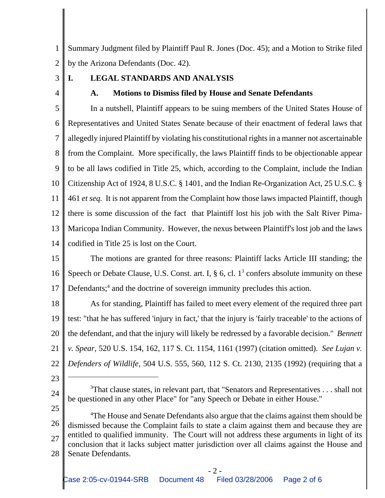1 2 Summary Judgment filed by Plaintiff Paul R. Jones (Doc. 45); and a Motion to Strike filed by the Arizona Defendants (Doc. 42).

3

4

## **I. LEGAL STANDARDS AND ANALYSIS**

**A. Motions to Dismiss filed by House and Senate Defendants**

5 6 7 8 9 10 11 12 13 14 In a nutshell, Plaintiff appears to be suing members of the United States House of Representatives and United States Senate because of their enactment of federal laws that allegedly injured Plaintiff by violating his constitutional rights in a manner not ascertainable from the Complaint.More specifically, the laws Plaintiff finds to be objectionable appear to be all laws codified in Title 25, which, according to the Complaint, include the Indian Citizenship Act of 1924, 8 U.S.C. § 1401, and the Indian Re-Organization Act, 25 U.S.C. § 461 *et seq.* It is not apparent from the Complaint how those laws impacted Plaintiff, though there is some discussion of the fact that Plaintiff lost his job with the Salt River Pima-Maricopa Indian Community. However, the nexus between Plaintiff's lost job and the laws codified in Title 25 is lost on the Court.

15 16 17 The motions are granted for three reasons: Plaintiff lacks Article III standing; the Speech or Debate Clause, U.S. Const. art. I,  $\S$  6, cl.  $1<sup>3</sup>$  confers absolute immunity on these Defendants;<sup>4</sup> and the doctrine of sovereign immunity precludes this action.

18 19 20 21 22 As for standing, Plaintiff has failed to meet every element of the required three part test: "that he has suffered 'injury in fact,' that the injury is 'fairly traceable' to the actions of the defendant, and that the injury will likely be redressed by a favorable decision." *Bennett v. Spear,* 520 U.S. 154, 162, 117 S. Ct. 1154, 1161 (1997) (citation omitted). *See Lujan v. Defenders of Wildlife,* 504 U.S. 555, 560, 112 S. Ct. 2130, 2135 (1992) (requiring that a

- 23
- 24 25

26 27 28 <sup>4</sup>The House and Senate Defendants also argue that the claims against them should be dismissed because the Complaint fails to state a claim against them and because they are entitled to qualified immunity. The Court will not address these arguments in light of its conclusion that it lacks subject matter jurisdiction over all claims against the House and Senate Defendants.

 $3$ That clause states, in relevant part, that "Senators and Representatives . . . shall not be questioned in any other Place" for "any Speech or Debate in either House."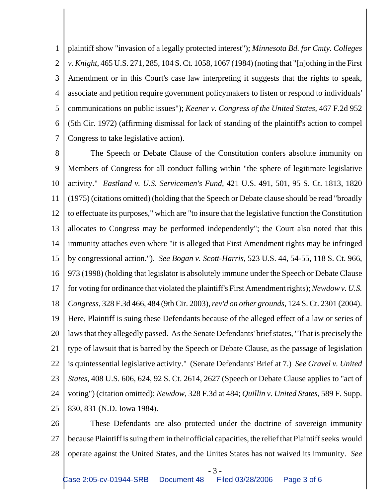1 2 3 4 5 6 7 plaintiff show "invasion of a legally protected interest"); *Minnesota Bd. for Cmty. Colleges v. Knight*, 465 U.S. 271, 285, 104 S. Ct. 1058, 1067 (1984) (noting that "[n]othing in the First Amendment or in this Court's case law interpreting it suggests that the rights to speak, associate and petition require government policymakers to listen or respond to individuals' communications on public issues"); *Keener v. Congress of the United States,* 467 F.2d 952 (5th Cir. 1972) (affirming dismissal for lack of standing of the plaintiff's action to compel Congress to take legislative action).

8 9 10 11 12 13 14 15 16 17 18 19 20 21 22 23 24 25 The Speech or Debate Clause of the Constitution confers absolute immunity on Members of Congress for all conduct falling within "the sphere of legitimate legislative activity." *Eastland v. U.S. Servicemen's Fund,* 421 U.S. 491, 501, 95 S. Ct. 1813, 1820 (1975) (citations omitted) (holding that the Speech or Debate clause should be read "broadly to effectuate its purposes," which are "to insure that the legislative function the Constitution allocates to Congress may be performed independently"; the Court also noted that this immunity attaches even where "it is alleged that First Amendment rights may be infringed by congressional action."). *See Bogan v. Scott-Harris,* 523 U.S. 44, 54-55, 118 S. Ct. 966, 973 (1998) (holding that legislator is absolutely immune under the Speech or Debate Clause for voting for ordinance that violated the plaintiff's First Amendment rights); *Newdow v. U.S. Congress,* 328 F.3d 466, 484 (9th Cir. 2003), *rev'd on other grounds,* 124 S. Ct. 2301 (2004). Here, Plaintiff is suing these Defendants because of the alleged effect of a law or series of laws that they allegedly passed. As the Senate Defendants' brief states, "That is precisely the type of lawsuit that is barred by the Speech or Debate Clause, as the passage of legislation is quintessential legislative activity." (Senate Defendants' Brief at 7.) *See Gravel v. United States,* 408 U.S. 606, 624, 92 S. Ct. 2614, 2627 (Speech or Debate Clause applies to "act of voting") (citation omitted); *Newdow,* 328 F.3d at 484; *Quillin v. United States,* 589 F. Supp. 830, 831 (N.D. Iowa 1984).

26 27 28 These Defendants are also protected under the doctrine of sovereign immunity because Plaintiff is suing them in their official capacities, the relief that Plaintiff seeks would operate against the United States, and the Unites States has not waived its immunity. *See*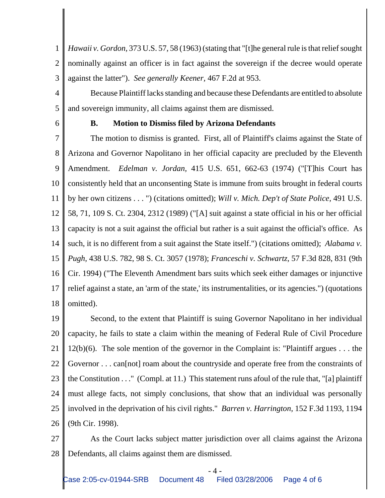1 2 3 *Hawaii v. Gordon,* 373 U.S. 57, 58 (1963) (stating that "[t]he general rule is that relief sought nominally against an officer is in fact against the sovereign if the decree would operate against the latter"). *See generally Keener,* 467 F.2d at 953.

4 5 Because Plaintiff lacks standing and because these Defendants are entitled to absolute and sovereign immunity, all claims against them are dismissed.

6

## **B. Motion to Dismiss filed by Arizona Defendants**

7 8 9 10 11 12 13 14 15 16 17 18 The motion to dismiss is granted. First, all of Plaintiff's claims against the State of Arizona and Governor Napolitano in her official capacity are precluded by the Eleventh Amendment. *Edelman v. Jordan,* 415 U.S. 651, 662-63 (1974) ("[T]his Court has consistently held that an unconsenting State is immune from suits brought in federal courts by her own citizens . . . ") (citations omitted); *Will v. Mich. Dep't of State Police,* 491 U.S. 58, 71, 109 S. Ct. 2304, 2312 (1989) ("[A] suit against a state official in his or her official capacity is not a suit against the official but rather is a suit against the official's office. As such, it is no different from a suit against the State itself.") (citations omitted); *Alabama v. Pugh,* 438 U.S. 782, 98 S. Ct. 3057 (1978); *Franceschi v. Schwartz,* 57 F.3d 828, 831 (9th Cir. 1994) ("The Eleventh Amendment bars suits which seek either damages or injunctive relief against a state, an 'arm of the state,' its instrumentalities, or its agencies.") (quotations omitted).

19 20 21 22 23 24 25 26 Second, to the extent that Plaintiff is suing Governor Napolitano in her individual capacity, he fails to state a claim within the meaning of Federal Rule of Civil Procedure 12(b)(6). The sole mention of the governor in the Complaint is: "Plaintiff argues . . . the Governor . . . can[not] roam about the countryside and operate free from the constraints of the Constitution  $\dots$ " (Compl. at 11.) This statement runs afoul of the rule that, "[a] plaintiff must allege facts, not simply conclusions, that show that an individual was personally involved in the deprivation of his civil rights." *Barren v. Harrington,* 152 F.3d 1193, 1194 (9th Cir. 1998).

27 28 As the Court lacks subject matter jurisdiction over all claims against the Arizona Defendants, all claims against them are dismissed.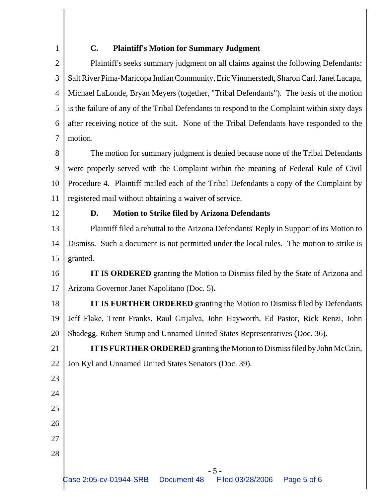1

## **C. Plaintiff's Motion for Summary Judgment**

2 3 4 5 6 7 Plaintiff's seeks summary judgment on all claims against the following Defendants: Salt River Pima-Maricopa Indian Community, Eric Vimmerstedt, Sharon Carl, Janet Lacapa, Michael LaLonde, Bryan Meyers (together, "Tribal Defendants"). The basis of the motion is the failure of any of the Tribal Defendants to respond to the Complaint within sixty days after receiving notice of the suit.None of the Tribal Defendants have responded to the motion.

8 9 10 11 The motion for summary judgment is denied because none of the Tribal Defendants were properly served with the Complaint within the meaning of Federal Rule of Civil Procedure 4. Plaintiff mailed each of the Tribal Defendants a copy of the Complaint by registered mail without obtaining a waiver of service.

12

23

24

25

26

27

28

## **D. Motion to Strike filed by Arizona Defendants**

13 14 15 Plaintiff filed a rebuttal to the Arizona Defendants' Reply in Support of its Motion to Dismiss. Such a document is not permitted under the local rules. The motion to strike is granted.

16 17 **IT IS ORDERED** granting the Motion to Dismiss filed by the State of Arizona and Arizona Governor Janet Napolitano (Doc. 5)**.**

18 19 20 **IT IS FURTHER ORDERED** granting the Motion to Dismiss filed by Defendants Jeff Flake, Trent Franks, Raul Grijalva, John Hayworth, Ed Pastor, Rick Renzi, John Shadegg, Robert Stump and Unnamed United States Representatives (Doc. 36)**.**

21 22 **IT IS FURTHER ORDERED** granting the Motion to Dismiss filed by John McCain, Jon Kyl and Unnamed United States Senators (Doc. 39).

- 5 -